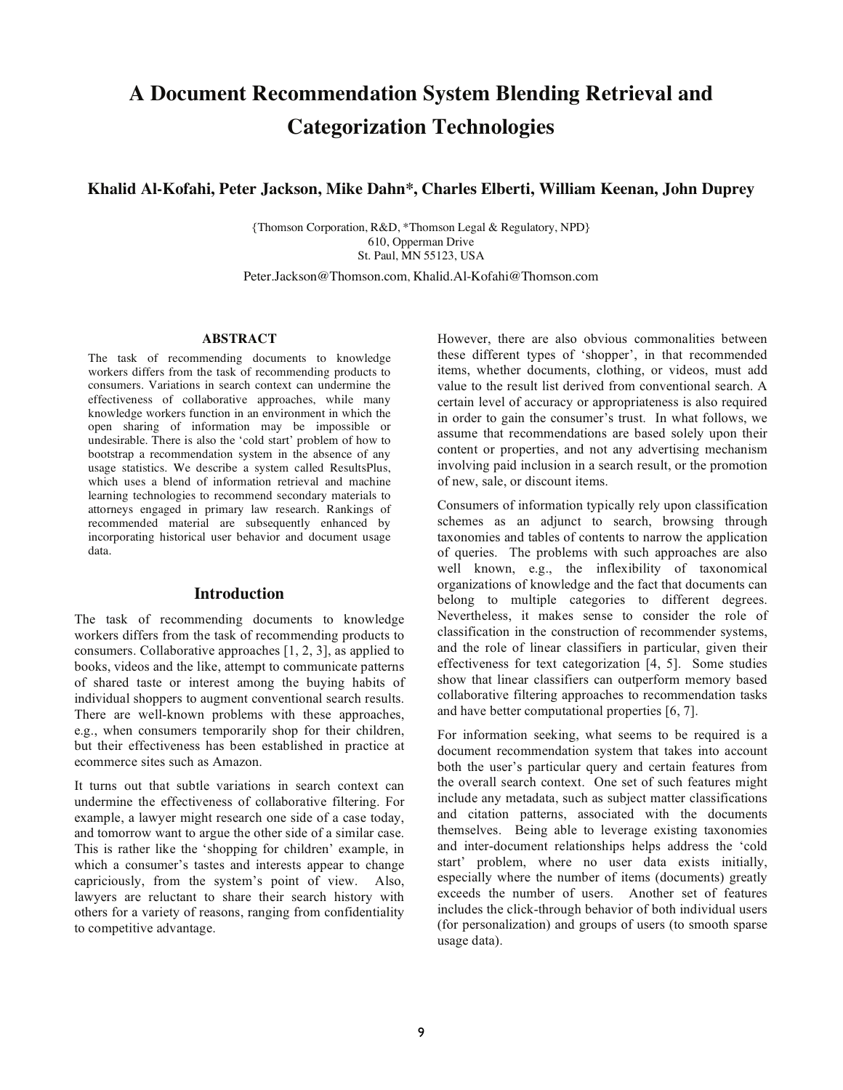# **A Document Recommendation System Blending Retrieval and Categorization Technologies**

## **Khalid Al-Kofahi, Peter Jackson, Mike Dahn\*, Charles Elberti, William Keenan, John Duprey**

{Thomson Corporation, R&D, \*Thomson Legal & Regulatory, NPD} 610, Opperman Drive St. Paul, MN 55123, USA

Peter.Jackson@Thomson.com, Khalid.Al-Kofahi@Thomson.com

#### **ABSTRACT**

The task of recommending documents to knowledge workers differs from the task of recommending products to consumers. Variations in search context can undermine the effectiveness of collaborative approaches, while many knowledge workers function in an environment in which the open sharing of information may be impossible or undesirable. There is also the 'cold start' problem of how to bootstrap a recommendation system in the absence of any usage statistics. We describe a system called ResultsPlus, which uses a blend of information retrieval and machine learning technologies to recommend secondary materials to attorneys engaged in primary law research. Rankings of recommended material are subsequently enhanced by incorporating historical user behavior and document usage data.

#### **Introduction**

The task of recommending documents to knowledge workers differs from the task of recommending products to consumers. Collaborative approaches [1, 2, 3], as applied to books, videos and the like, attempt to communicate patterns of shared taste or interest among the buying habits of individual shoppers to augment conventional search results. There are well-known problems with these approaches, e.g., when consumers temporarily shop for their children, but their effectiveness has been established in practice at ecommerce sites such as Amazon.

It turns out that subtle variations in search context can undermine the effectiveness of collaborative filtering. For example, a lawyer might research one side of a case today, and tomorrow want to argue the other side of a similar case. This is rather like the 'shopping for children' example, in which a consumer's tastes and interests appear to change capriciously, from the system's point of view. Also, lawyers are reluctant to share their search history with others for a variety of reasons, ranging from confidentiality to competitive advantage.

However, there are also obvious commonalities between these different types of 'shopper', in that recommended items, whether documents, clothing, or videos, must add value to the result list derived from conventional search. A certain level of accuracy or appropriateness is also required in order to gain the consumer's trust. In what follows, we assume that recommendations are based solely upon their content or properties, and not any advertising mechanism involving paid inclusion in a search result, or the promotion of new, sale, or discount items.

Consumers of information typically rely upon classification schemes as an adjunct to search, browsing through taxonomies and tables of contents to narrow the application of queries. The problems with such approaches are also well known, e.g., the inflexibility of taxonomical organizations of knowledge and the fact that documents can belong to multiple categories to different degrees. Nevertheless, it makes sense to consider the role of classification in the construction of recommender systems, and the role of linear classifiers in particular, given their effectiveness for text categorization [4, 5]. Some studies show that linear classifiers can outperform memory based collaborative filtering approaches to recommendation tasks and have better computational properties [6, 7].

For information seeking, what seems to be required is a document recommendation system that takes into account both the user's particular query and certain features from the overall search context. One set of such features might include any metadata, such as subject matter classifications and citation patterns, associated with the documents themselves. Being able to leverage existing taxonomies and inter-document relationships helps address the 'cold start' problem, where no user data exists initially, especially where the number of items (documents) greatly exceeds the number of users. Another set of features includes the click-through behavior of both individual users (for personalization) and groups of users (to smooth sparse usage data).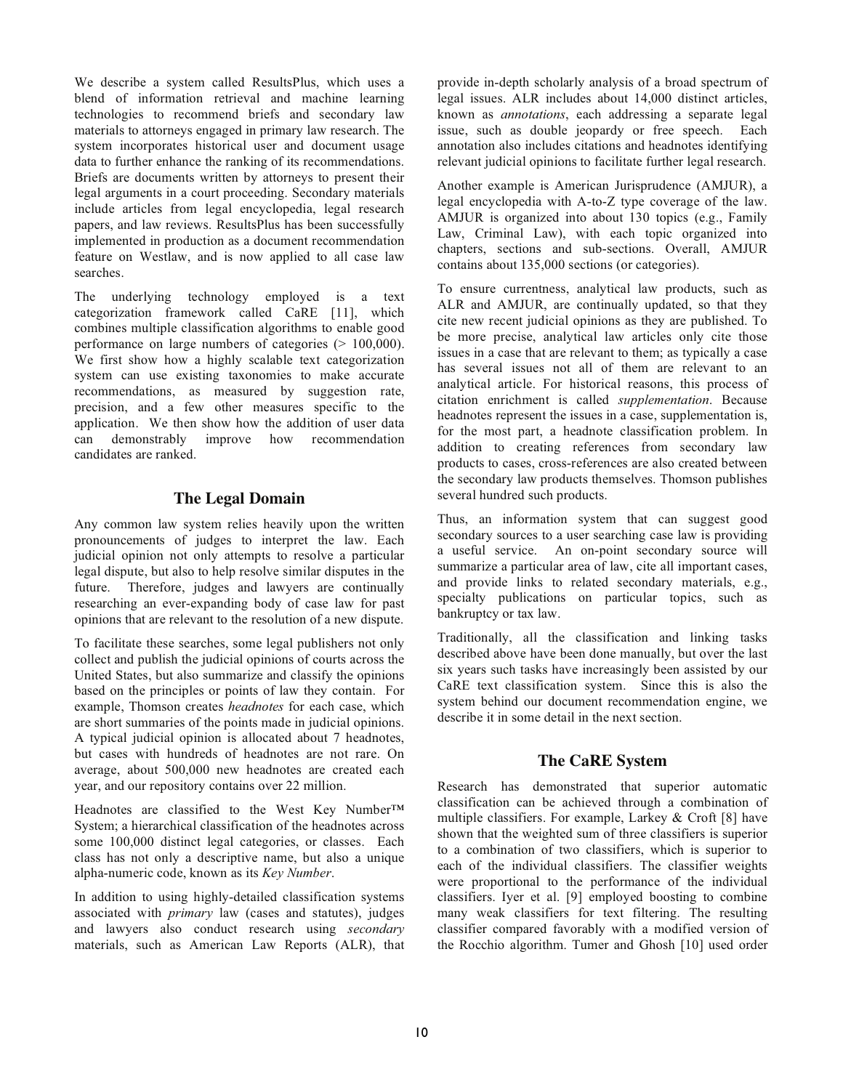We describe a system called ResultsPlus, which uses a blend of information retrieval and machine learning technologies to recommend briefs and secondary law materials to attorneys engaged in primary law research. The system incorporates historical user and document usage data to further enhance the ranking of its recommendations. Briefs are documents written by attorneys to present their legal arguments in a court proceeding. Secondary materials include articles from legal encyclopedia, legal research papers, and law reviews. ResultsPlus has been successfully implemented in production as a document recommendation feature on Westlaw, and is now applied to all case law searches.

The underlying technology employed is a text categorization framework called CaRE [11], which combines multiple classification algorithms to enable good performance on large numbers of categories (> 100,000). We first show how a highly scalable text categorization system can use existing taxonomies to make accurate recommendations, as measured by suggestion rate, precision, and a few other measures specific to the application. We then show how the addition of user data can demonstrably improve how recommendation candidates are ranked.

# **The Legal Domain**

Any common law system relies heavily upon the written pronouncements of judges to interpret the law. Each judicial opinion not only attempts to resolve a particular legal dispute, but also to help resolve similar disputes in the future. Therefore, judges and lawyers are continually researching an ever-expanding body of case law for past opinions that are relevant to the resolution of a new dispute.

To facilitate these searches, some legal publishers not only collect and publish the judicial opinions of courts across the United States, but also summarize and classify the opinions based on the principles or points of law they contain. For example, Thomson creates *headnotes* for each case, which are short summaries of the points made in judicial opinions. A typical judicial opinion is allocated about 7 headnotes, but cases with hundreds of headnotes are not rare. On average, about 500,000 new headnotes are created each year, and our repository contains over 22 million.

Headnotes are classified to the West Key Number™ System; a hierarchical classification of the headnotes across some 100,000 distinct legal categories, or classes. Each class has not only a descriptive name, but also a unique alpha-numeric code, known as its *Key Number*.

In addition to using highly-detailed classification systems associated with *primary* law (cases and statutes), judges and lawyers also conduct research using *secondary* materials, such as American Law Reports (ALR), that provide in-depth scholarly analysis of a broad spectrum of legal issues. ALR includes about 14,000 distinct articles, known as *annotations*, each addressing a separate legal issue, such as double jeopardy or free speech. Each annotation also includes citations and headnotes identifying relevant judicial opinions to facilitate further legal research.

Another example is American Jurisprudence (AMJUR), a legal encyclopedia with A-to-Z type coverage of the law. AMJUR is organized into about 130 topics (e.g., Family Law, Criminal Law), with each topic organized into chapters, sections and sub-sections. Overall, AMJUR contains about 135,000 sections (or categories).

To ensure currentness, analytical law products, such as ALR and AMJUR, are continually updated, so that they cite new recent judicial opinions as they are published. To be more precise, analytical law articles only cite those issues in a case that are relevant to them; as typically a case has several issues not all of them are relevant to an analytical article. For historical reasons, this process of citation enrichment is called *supplementation*. Because headnotes represent the issues in a case, supplementation is, for the most part, a headnote classification problem. In addition to creating references from secondary law products to cases, cross-references are also created between the secondary law products themselves. Thomson publishes several hundred such products.

Thus, an information system that can suggest good secondary sources to a user searching case law is providing a useful service. An on-point secondary source will summarize a particular area of law, cite all important cases, and provide links to related secondary materials, e.g., specialty publications on particular topics, such as bankruptcy or tax law.

Traditionally, all the classification and linking tasks described above have been done manually, but over the last six years such tasks have increasingly been assisted by our CaRE text classification system. Since this is also the system behind our document recommendation engine, we describe it in some detail in the next section.

# **The CaRE System**

Research has demonstrated that superior automatic classification can be achieved through a combination of multiple classifiers. For example, Larkey & Croft [8] have shown that the weighted sum of three classifiers is superior to a combination of two classifiers, which is superior to each of the individual classifiers. The classifier weights were proportional to the performance of the individual classifiers. Iyer et al. [9] employed boosting to combine many weak classifiers for text filtering. The resulting classifier compared favorably with a modified version of the Rocchio algorithm. Tumer and Ghosh [10] used order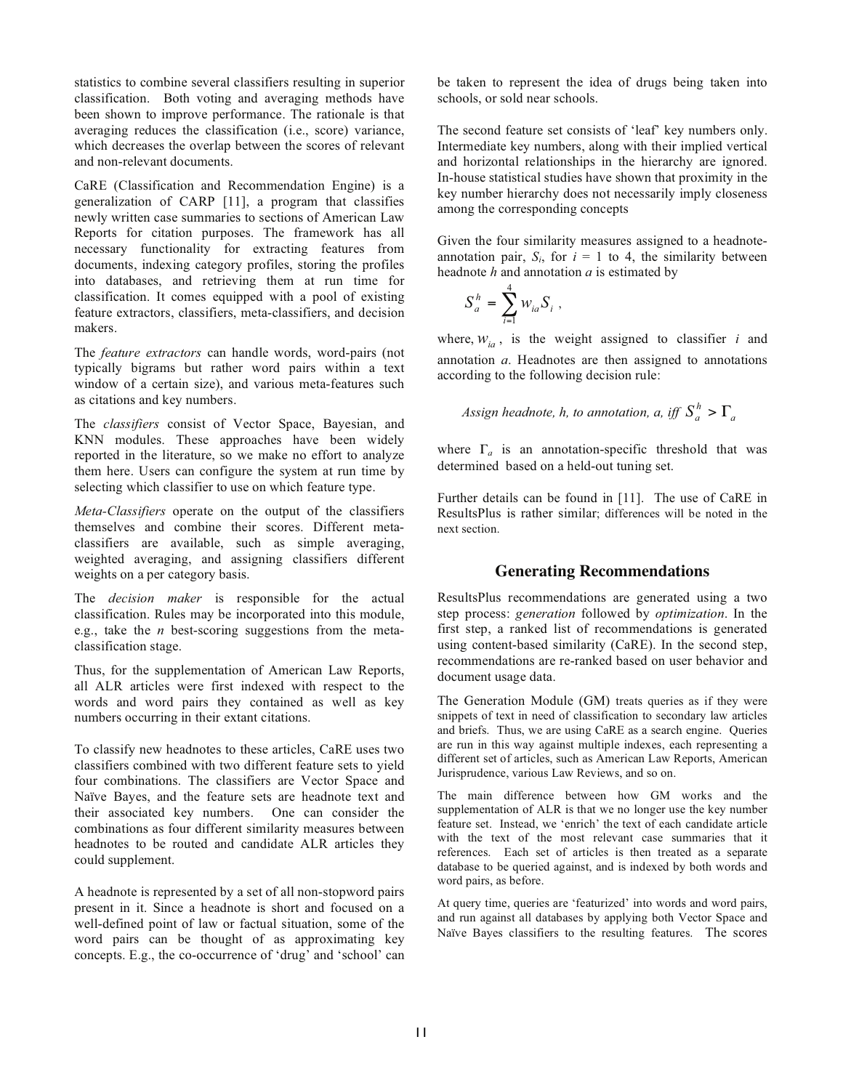statistics to combine several classifiers resulting in superior classification. Both voting and averaging methods have been shown to improve performance. The rationale is that averaging reduces the classification (i.e., score) variance, which decreases the overlap between the scores of relevant and non-relevant documents.

CaRE (Classification and Recommendation Engine) is a generalization of CARP [11], a program that classifies newly written case summaries to sections of American Law Reports for citation purposes. The framework has all necessary functionality for extracting features from documents, indexing category profiles, storing the profiles into databases, and retrieving them at run time for classification. It comes equipped with a pool of existing feature extractors, classifiers, meta-classifiers, and decision makers.

The *feature extractors* can handle words, word-pairs (not typically bigrams but rather word pairs within a text window of a certain size), and various meta-features such as citations and key numbers.

The *classifiers* consist of Vector Space, Bayesian, and KNN modules. These approaches have been widely reported in the literature, so we make no effort to analyze them here. Users can configure the system at run time by selecting which classifier to use on which feature type.

*Meta-Classifiers* operate on the output of the classifiers themselves and combine their scores. Different metaclassifiers are available, such as simple averaging, weighted averaging, and assigning classifiers different weights on a per category basis.

The *decision maker* is responsible for the actual classification. Rules may be incorporated into this module, e.g., take the *n* best-scoring suggestions from the metaclassification stage.

Thus, for the supplementation of American Law Reports, all ALR articles were first indexed with respect to the words and word pairs they contained as well as key numbers occurring in their extant citations.

To classify new headnotes to these articles, CaRE uses two classifiers combined with two different feature sets to yield four combinations. The classifiers are Vector Space and Naïve Bayes, and the feature sets are headnote text and their associated key numbers. One can consider the combinations as four different similarity measures between headnotes to be routed and candidate ALR articles they could supplement.

A headnote is represented by a set of all non-stopword pairs present in it. Since a headnote is short and focused on a well-defined point of law or factual situation, some of the word pairs can be thought of as approximating key concepts. E.g., the co-occurrence of 'drug' and 'school' can be taken to represent the idea of drugs being taken into schools, or sold near schools.

The second feature set consists of 'leaf' key numbers only. Intermediate key numbers, along with their implied vertical and horizontal relationships in the hierarchy are ignored. In-house statistical studies have shown that proximity in the key number hierarchy does not necessarily imply closeness among the corresponding concepts

Given the four similarity measures assigned to a headnoteannotation pair,  $S_i$ , for  $i = 1$  to 4, the similarity between headnote *h* and annotation *a* is estimated by

$$
S_a^h = \sum_{i=1}^4 w_{ia} S_i ,
$$

where,  $W_{ia}$ , is the weight assigned to classifier *i* and annotation *a*. Headnotes are then assigned to annotations according to the following decision rule:

*Assign headnote, h, to annotation, a, iff* 
$$
S_a^h > \Gamma_a
$$

where  $\Gamma_a$  is an annotation-specific threshold that was determined based on a held-out tuning set.

Further details can be found in [11]. The use of CaRE in ResultsPlus is rather similar; differences will be noted in the next section.

## **Generating Recommendations**

ResultsPlus recommendations are generated using a two step process: *generation* followed by *optimization*. In the first step, a ranked list of recommendations is generated using content-based similarity (CaRE). In the second step, recommendations are re-ranked based on user behavior and document usage data.

The Generation Module (GM) treats queries as if they were snippets of text in need of classification to secondary law articles and briefs. Thus, we are using CaRE as a search engine. Queries are run in this way against multiple indexes, each representing a different set of articles, such as American Law Reports, American Jurisprudence, various Law Reviews, and so on.

The main difference between how GM works and the supplementation of ALR is that we no longer use the key number feature set. Instead, we 'enrich' the text of each candidate article with the text of the most relevant case summaries that it references. Each set of articles is then treated as a separate database to be queried against, and is indexed by both words and word pairs, as before.

At query time, queries are 'featurized' into words and word pairs, and run against all databases by applying both Vector Space and Naïve Bayes classifiers to the resulting features. The scores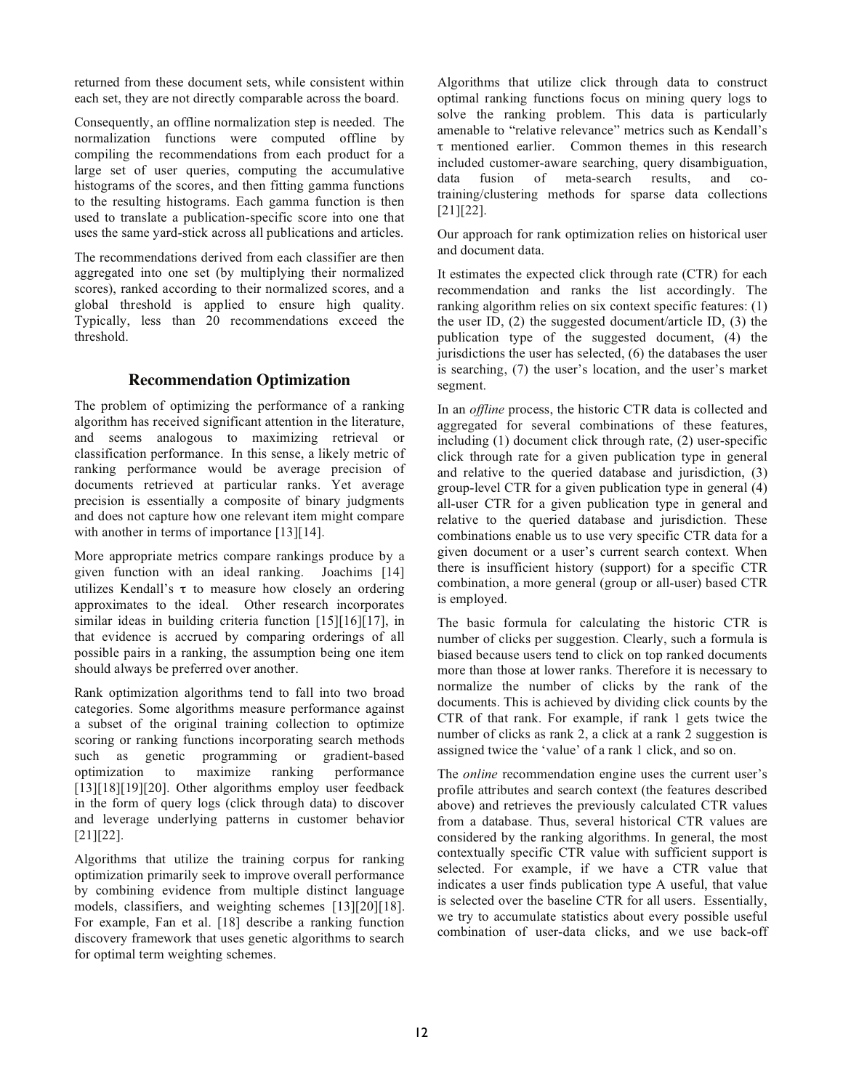returned from these document sets, while consistent within each set, they are not directly comparable across the board.

Consequently, an offline normalization step is needed. The normalization functions were computed offline by compiling the recommendations from each product for a large set of user queries, computing the accumulative histograms of the scores, and then fitting gamma functions to the resulting histograms. Each gamma function is then used to translate a publication-specific score into one that uses the same yard-stick across all publications and articles.

The recommendations derived from each classifier are then aggregated into one set (by multiplying their normalized scores), ranked according to their normalized scores, and a global threshold is applied to ensure high quality. Typically, less than 20 recommendations exceed the threshold.

## **Recommendation Optimization**

The problem of optimizing the performance of a ranking algorithm has received significant attention in the literature, and seems analogous to maximizing retrieval or classification performance. In this sense, a likely metric of ranking performance would be average precision of documents retrieved at particular ranks. Yet average precision is essentially a composite of binary judgments and does not capture how one relevant item might compare with another in terms of importance [13][14].

More appropriate metrics compare rankings produce by a given function with an ideal ranking. Joachims [14] utilizes Kendall's  $\tau$  to measure how closely an ordering approximates to the ideal. Other research incorporates similar ideas in building criteria function [15][16][17], in that evidence is accrued by comparing orderings of all possible pairs in a ranking, the assumption being one item should always be preferred over another.

Rank optimization algorithms tend to fall into two broad categories. Some algorithms measure performance against a subset of the original training collection to optimize scoring or ranking functions incorporating search methods such as genetic programming or gradient-based optimization to maximize ranking performance [13][18][19][20]. Other algorithms employ user feedback in the form of query logs (click through data) to discover and leverage underlying patterns in customer behavior [21][22].

Algorithms that utilize the training corpus for ranking optimization primarily seek to improve overall performance by combining evidence from multiple distinct language models, classifiers, and weighting schemes [13][20][18]. For example, Fan et al. [18] describe a ranking function discovery framework that uses genetic algorithms to search for optimal term weighting schemes.

Algorithms that utilize click through data to construct optimal ranking functions focus on mining query logs to solve the ranking problem. This data is particularly amenable to "relative relevance" metrics such as Kendall's  $\tau$  mentioned earlier. Common themes in this research included customer-aware searching, query disambiguation, data fusion of meta-search results, and cotraining/clustering methods for sparse data collections [21][22].

Our approach for rank optimization relies on historical user and document data.

It estimates the expected click through rate (CTR) for each recommendation and ranks the list accordingly. The ranking algorithm relies on six context specific features: (1) the user ID, (2) the suggested document/article ID, (3) the publication type of the suggested document, (4) the jurisdictions the user has selected, (6) the databases the user is searching, (7) the user's location, and the user's market segment.

In an *offline* process, the historic CTR data is collected and aggregated for several combinations of these features, including (1) document click through rate, (2) user-specific click through rate for a given publication type in general and relative to the queried database and jurisdiction, (3) group-level CTR for a given publication type in general (4) all-user CTR for a given publication type in general and relative to the queried database and jurisdiction. These combinations enable us to use very specific CTR data for a given document or a user's current search context. When there is insufficient history (support) for a specific CTR combination, a more general (group or all-user) based CTR is employed.

The basic formula for calculating the historic CTR is number of clicks per suggestion. Clearly, such a formula is biased because users tend to click on top ranked documents more than those at lower ranks. Therefore it is necessary to normalize the number of clicks by the rank of the documents. This is achieved by dividing click counts by the CTR of that rank. For example, if rank 1 gets twice the number of clicks as rank 2, a click at a rank 2 suggestion is assigned twice the 'value' of a rank 1 click, and so on.

The *online* recommendation engine uses the current user's profile attributes and search context (the features described above) and retrieves the previously calculated CTR values from a database. Thus, several historical CTR values are considered by the ranking algorithms. In general, the most contextually specific CTR value with sufficient support is selected. For example, if we have a CTR value that indicates a user finds publication type A useful, that value is selected over the baseline CTR for all users. Essentially, we try to accumulate statistics about every possible useful combination of user-data clicks, and we use back-off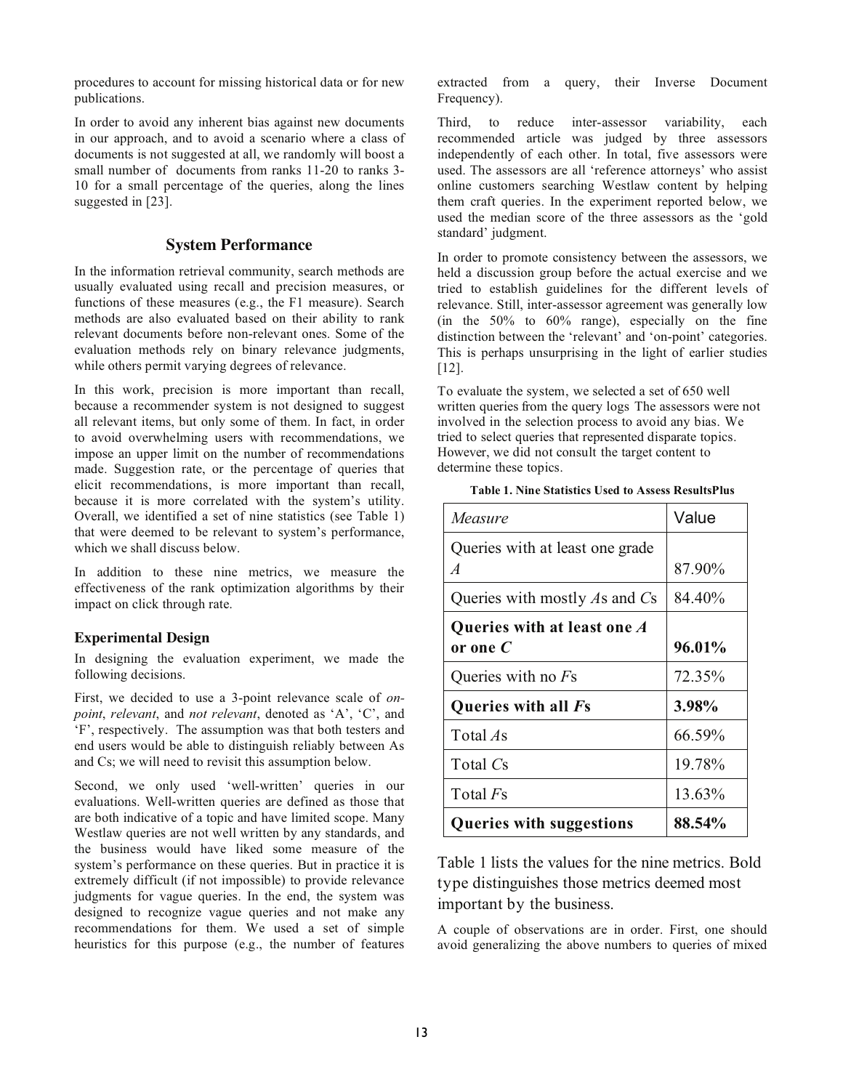procedures to account for missing historical data or for new publications.

In order to avoid any inherent bias against new documents in our approach, and to avoid a scenario where a class of documents is not suggested at all, we randomly will boost a small number of documents from ranks 11-20 to ranks 3- 10 for a small percentage of the queries, along the lines suggested in [23].

## **System Performance**

In the information retrieval community, search methods are usually evaluated using recall and precision measures, or functions of these measures (e.g., the F1 measure). Search methods are also evaluated based on their ability to rank relevant documents before non-relevant ones. Some of the evaluation methods rely on binary relevance judgments, while others permit varying degrees of relevance.

In this work, precision is more important than recall, because a recommender system is not designed to suggest all relevant items, but only some of them. In fact, in order to avoid overwhelming users with recommendations, we impose an upper limit on the number of recommendations made. Suggestion rate, or the percentage of queries that elicit recommendations, is more important than recall, because it is more correlated with the system's utility. Overall, we identified a set of nine statistics (see Table 1) that were deemed to be relevant to system's performance, which we shall discuss below.

In addition to these nine metrics, we measure the effectiveness of the rank optimization algorithms by their impact on click through rate.

#### **Experimental Design**

In designing the evaluation experiment, we made the following decisions.

First, we decided to use a 3-point relevance scale of *onpoint*, *relevant*, and *not relevant*, denoted as 'A', 'C', and 'F', respectively. The assumption was that both testers and end users would be able to distinguish reliably between As and Cs; we will need to revisit this assumption below.

Second, we only used 'well-written' queries in our evaluations. Well-written queries are defined as those that are both indicative of a topic and have limited scope. Many Westlaw queries are not well written by any standards, and the business would have liked some measure of the system's performance on these queries. But in practice it is extremely difficult (if not impossible) to provide relevance judgments for vague queries. In the end, the system was designed to recognize vague queries and not make any recommendations for them. We used a set of simple heuristics for this purpose (e.g., the number of features

extracted from a query, their Inverse Document Frequency).

Third, to reduce inter-assessor variability, each recommended article was judged by three assessors independently of each other. In total, five assessors were used. The assessors are all 'reference attorneys' who assist online customers searching Westlaw content by helping them craft queries. In the experiment reported below, we used the median score of the three assessors as the 'gold standard' judgment.

In order to promote consistency between the assessors, we held a discussion group before the actual exercise and we tried to establish guidelines for the different levels of relevance. Still, inter-assessor agreement was generally low (in the  $50\%$  to  $60\%$  range), especially on the fine distinction between the 'relevant' and 'on-point' categories. This is perhaps unsurprising in the light of earlier studies [12].

To evaluate the system, we selected a set of 650 well written queries from the query logs The assessors were not involved in the selection process to avoid any bias. We tried to select queries that represented disparate topics. However, we did not consult the target content to determine these topics.

| Table 1. Nine Statistics Used to Assess ResultsPlus |  |  |
|-----------------------------------------------------|--|--|
|-----------------------------------------------------|--|--|

| Measure                         | Value  |
|---------------------------------|--------|
| Queries with at least one grade |        |
| $\overline{A}$                  | 87.90% |
| Queries with mostly As and Cs   | 84.40% |
| Queries with at least one A     |        |
| or one $\boldsymbol{C}$         | 96.01% |
| Queries with no $Fs$            | 72.35% |
| Queries with all Fs             | 3.98%  |
| Total As                        | 66.59% |
| Total Cs                        | 19.78% |
| Total <i>Fs</i>                 | 13.63% |
| <b>Queries with suggestions</b> | 88.54% |

Table 1 lists the values for the nine metrics. Bold type distinguishes those metrics deemed most important by the business.

A couple of observations are in order. First, one should avoid generalizing the above numbers to queries of mixed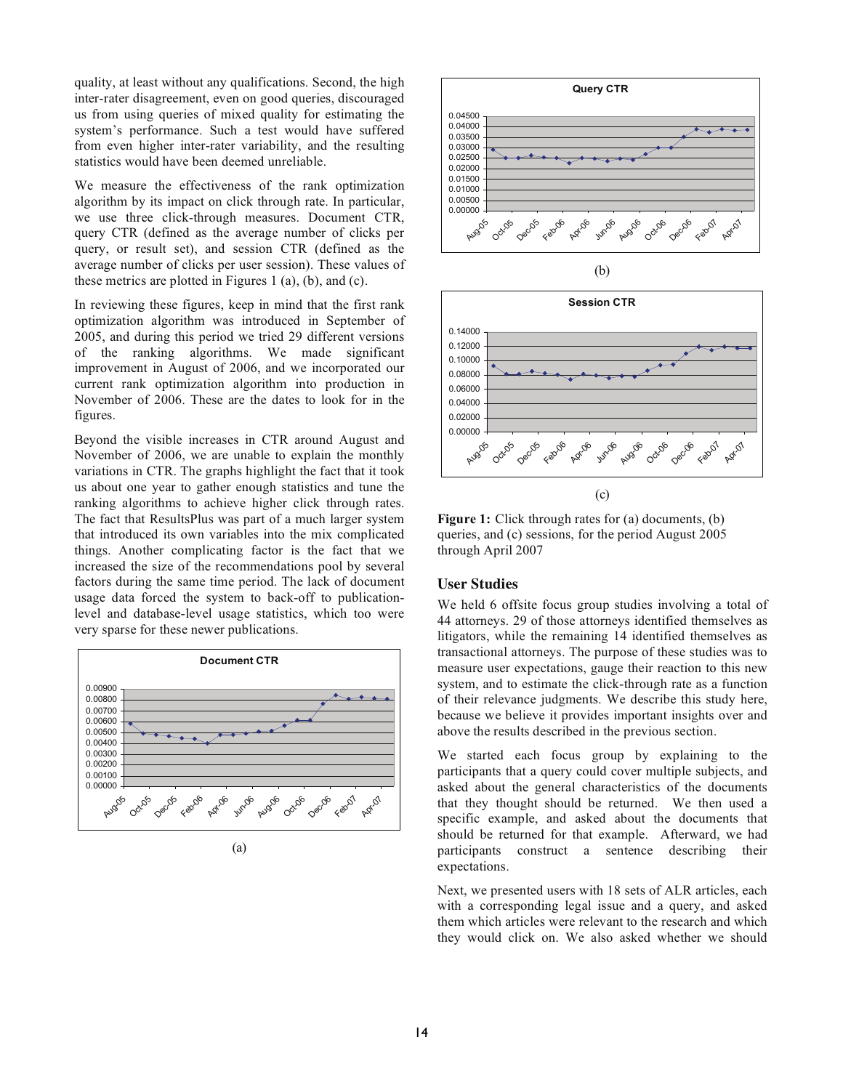quality, at least without any qualifications. Second, the high inter-rater disagreement, even on good queries, discouraged us from using queries of mixed quality for estimating the system's performance. Such a test would have suffered from even higher inter-rater variability, and the resulting statistics would have been deemed unreliable.

We measure the effectiveness of the rank optimization algorithm by its impact on click through rate. In particular, we use three click-through measures. Document CTR, query CTR (defined as the average number of clicks per query, or result set), and session CTR (defined as the average number of clicks per user session). These values of these metrics are plotted in Figures 1 (a), (b), and (c).

In reviewing these figures, keep in mind that the first rank optimization algorithm was introduced in September of 2005, and during this period we tried 29 different versions of the ranking algorithms. We made significant improvement in August of 2006, and we incorporated our current rank optimization algorithm into production in November of 2006. These are the dates to look for in the figures.

Beyond the visible increases in CTR around August and November of 2006, we are unable to explain the monthly variations in CTR. The graphs highlight the fact that it took us about one year to gather enough statistics and tune the ranking algorithms to achieve higher click through rates. The fact that ResultsPlus was part of a much larger system that introduced its own variables into the mix complicated things. Another complicating factor is the fact that we increased the size of the recommendations pool by several factors during the same time period. The lack of document usage data forced the system to back-off to publicationlevel and database-level usage statistics, which too were very sparse for these newer publications.







(b)



**Figure 1:** Click through rates for (a) documents, (b) queries, and (c) sessions, for the period August 2005 through April 2007

## **User Studies**

We held 6 offsite focus group studies involving a total of 44 attorneys. 29 of those attorneys identified themselves as litigators, while the remaining 14 identified themselves as transactional attorneys. The purpose of these studies was to measure user expectations, gauge their reaction to this new system, and to estimate the click-through rate as a function of their relevance judgments. We describe this study here, because we believe it provides important insights over and above the results described in the previous section.

We started each focus group by explaining to the participants that a query could cover multiple subjects, and asked about the general characteristics of the documents that they thought should be returned. We then used a specific example, and asked about the documents that should be returned for that example. Afterward, we had participants construct a sentence describing their expectations.

Next, we presented users with 18 sets of ALR articles, each with a corresponding legal issue and a query, and asked them which articles were relevant to the research and which they would click on. We also asked whether we should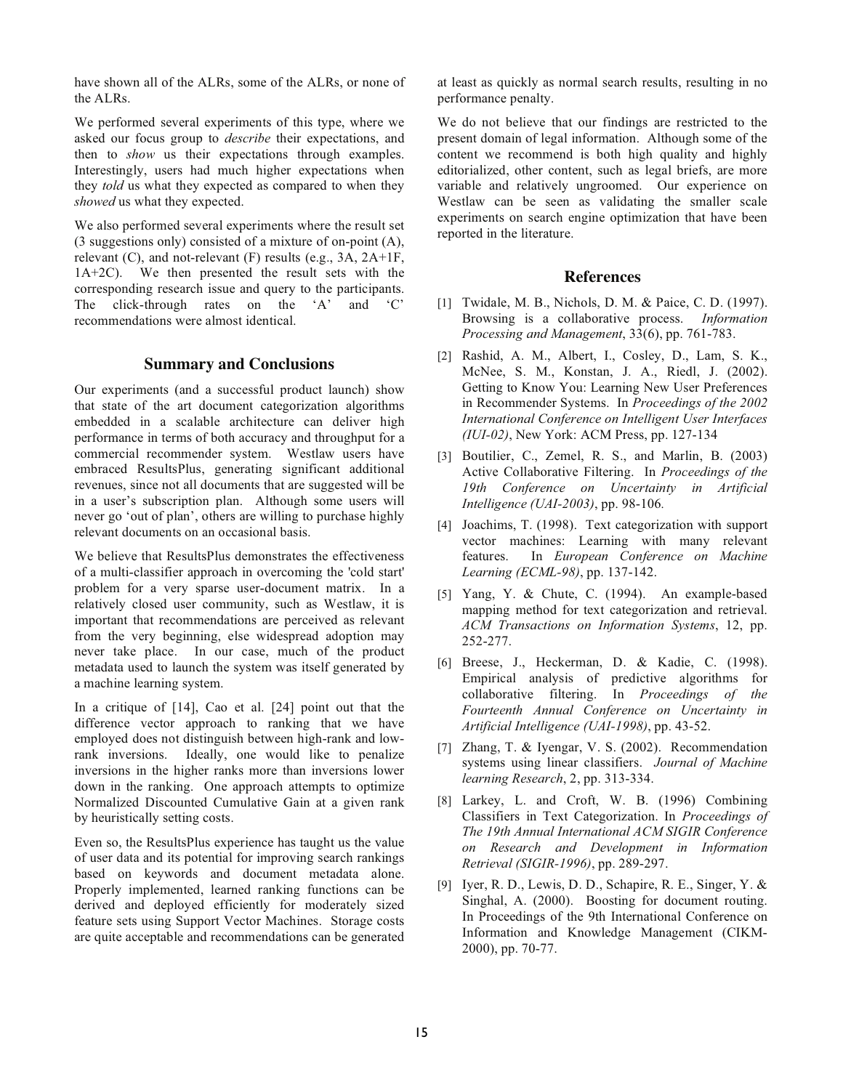have shown all of the ALRs, some of the ALRs, or none of the ALRs.

We performed several experiments of this type, where we asked our focus group to *describe* their expectations, and then to *show* us their expectations through examples. Interestingly, users had much higher expectations when they *told* us what they expected as compared to when they *showed* us what they expected.

We also performed several experiments where the result set (3 suggestions only) consisted of a mixture of on-point (A), relevant (C), and not-relevant (F) results (e.g., 3A, 2A+1F, 1A+2C). We then presented the result sets with the corresponding research issue and query to the participants. The click-through rates on the 'A' and 'C' recommendations were almost identical.

## **Summary and Conclusions**

Our experiments (and a successful product launch) show that state of the art document categorization algorithms embedded in a scalable architecture can deliver high performance in terms of both accuracy and throughput for a commercial recommender system. Westlaw users have embraced ResultsPlus, generating significant additional revenues, since not all documents that are suggested will be in a user's subscription plan. Although some users will never go 'out of plan', others are willing to purchase highly relevant documents on an occasional basis.

We believe that ResultsPlus demonstrates the effectiveness of a multi-classifier approach in overcoming the 'cold start' problem for a very sparse user-document matrix. In a relatively closed user community, such as Westlaw, it is important that recommendations are perceived as relevant from the very beginning, else widespread adoption may never take place. In our case, much of the product metadata used to launch the system was itself generated by a machine learning system.

In a critique of [14], Cao et al. [24] point out that the difference vector approach to ranking that we have employed does not distinguish between high-rank and lowrank inversions. Ideally, one would like to penalize inversions in the higher ranks more than inversions lower down in the ranking. One approach attempts to optimize Normalized Discounted Cumulative Gain at a given rank by heuristically setting costs.

Even so, the ResultsPlus experience has taught us the value of user data and its potential for improving search rankings based on keywords and document metadata alone. Properly implemented, learned ranking functions can be derived and deployed efficiently for moderately sized feature sets using Support Vector Machines. Storage costs are quite acceptable and recommendations can be generated

at least as quickly as normal search results, resulting in no performance penalty.

We do not believe that our findings are restricted to the present domain of legal information. Although some of the content we recommend is both high quality and highly editorialized, other content, such as legal briefs, are more variable and relatively ungroomed. Our experience on Westlaw can be seen as validating the smaller scale experiments on search engine optimization that have been reported in the literature.

#### **References**

- [1] Twidale, M. B., Nichols, D. M. & Paice, C. D. (1997). Browsing is a collaborative process. *Information Processing and Management*, 33(6), pp. 761-783.
- [2] Rashid, A. M., Albert, I., Cosley, D., Lam, S. K., McNee, S. M., Konstan, J. A., Riedl, J. (2002). Getting to Know You: Learning New User Preferences in Recommender Systems. In *Proceedings of the 2002 International Conference on Intelligent User Interfaces (IUI-02)*, New York: ACM Press, pp. 127-134
- [3] Boutilier, C., Zemel, R. S., and Marlin, B. (2003) Active Collaborative Filtering. In *Proceedings of the 19th Conference on Uncertainty in Artificial Intelligence (UAI-2003)*, pp. 98-106*.*
- [4] Joachims, T. (1998). Text categorization with support vector machines: Learning with many relevant features. In *European Conference on Machine Learning (ECML-98)*, pp. 137-142.
- [5] Yang, Y. & Chute, C. (1994). An example-based mapping method for text categorization and retrieval. *ACM Transactions on Information Systems*, 12, pp. 252-277.
- [6] Breese, J., Heckerman, D. & Kadie, C. (1998). Empirical analysis of predictive algorithms for collaborative filtering. In *Proceedings of the Fourteenth Annual Conference on Uncertainty in Artificial Intelligence (UAI-1998)*, pp. 43-52.
- [7] Zhang, T. & Iyengar, V. S. (2002). Recommendation systems using linear classifiers. *Journal of Machine learning Research*, 2, pp. 313-334.
- [8] Larkey, L. and Croft, W. B. (1996) Combining Classifiers in Text Categorization. In *Proceedings of The 19th Annual International ACM SIGIR Conference on Research and Development in Information Retrieval (SIGIR-1996)*, pp. 289-297.
- [9] Iyer, R. D., Lewis, D. D., Schapire, R. E., Singer, Y. & Singhal, A. (2000). Boosting for document routing. In Proceedings of the 9th International Conference on Information and Knowledge Management (CIKM-2000), pp. 70-77.